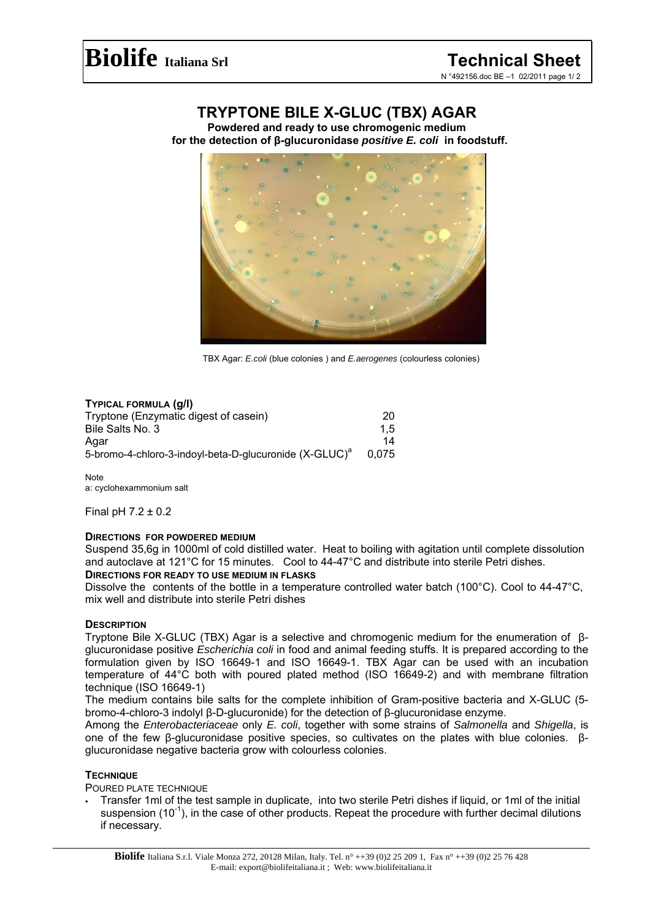# **TRYPTONE BILE X-GLUC (TBX) AGAR**

**Powdered and ready to use chromogenic medium for the detection of β-glucuronidase** *positive E. coli* **in foodstuff.** 



TBX Agar: *E.coli* (blue colonies ) and *E.aerogenes* (colourless colonies)

# **TYPICAL FORMULA (g/l)**

| Tryptone (Enzymatic digest of casein)                              | 20    |
|--------------------------------------------------------------------|-------|
| Bile Salts No. 3                                                   | 1.5   |
| Agar                                                               | 14    |
| 5-bromo-4-chloro-3-indoyl-beta-D-glucuronide (X-GLUC) <sup>a</sup> | 0.075 |

**Note** a: cyclohexammonium salt

Final pH 7.2 ± 0.2

# **DIRECTIONS FOR POWDERED MEDIUM**

Suspend 35,6g in 1000ml of cold distilled water. Heat to boiling with agitation until complete dissolution and autoclave at 121°C for 15 minutes. Cool to 44-47°C and distribute into sterile Petri dishes.

## **DIRECTIONS FOR READY TO USE MEDIUM IN FLASKS**

Dissolve the contents of the bottle in a temperature controlled water batch (100°C). Cool to 44-47°C, mix well and distribute into sterile Petri dishes

# **DESCRIPTION**

Tryptone Bile X-GLUC (TBX) Agar is a selective and chromogenic medium for the enumeration of βglucuronidase positive *Escherichia coli* in food and animal feeding stuffs. It is prepared according to the formulation given by ISO 16649-1 and ISO 16649-1. TBX Agar can be used with an incubation temperature of 44°C both with poured plated method (ISO 16649-2) and with membrane filtration technique (ISO 16649-1)

The medium contains bile salts for the complete inhibition of Gram-positive bacteria and X-GLUC (5 bromo-4-chloro-3 indolyl β-D-glucuronide) for the detection of β-glucuronidase enzyme.

Among the *Enterobacteriaceae* only *E. coli*, together with some strains of *Salmonella* and *Shigella*, is one of the few β-glucuronidase positive species, so cultivates on the plates with blue colonies. βglucuronidase negative bacteria grow with colourless colonies.

# **TECHNIQUE**

POURED PLATE TECHNIQUE

 Transfer 1ml of the test sample in duplicate, into two sterile Petri dishes if liquid, or 1ml of the initial suspension  $(10^{-1})$ , in the case of other products. Repeat the procedure with further decimal dilutions if necessary.